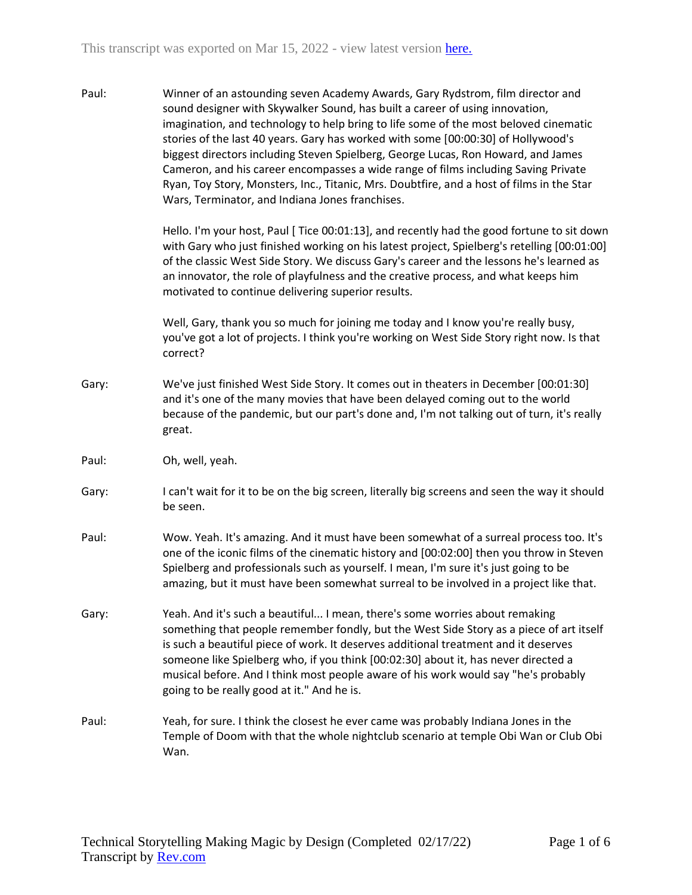Paul: Winner of an astounding seven Academy Awards, Gary Rydstrom, film director and sound designer with Skywalker Sound, has built a career of using innovation, imagination, and technology to help bring to life some of the most beloved cinematic stories of the last 40 years. Gary has worked with some [00:00:30] of Hollywood's biggest directors including Steven Spielberg, George Lucas, Ron Howard, and James Cameron, and his career encompasses a wide range of films including Saving Private Ryan, Toy Story, Monsters, Inc., Titanic, Mrs. Doubtfire, and a host of films in the Star Wars, Terminator, and Indiana Jones franchises.

> Hello. I'm your host, Paul [ Tice 00:01:13], and recently had the good fortune to sit down with Gary who just finished working on his latest project, Spielberg's retelling [00:01:00] of the classic West Side Story. We discuss Gary's career and the lessons he's learned as an innovator, the role of playfulness and the creative process, and what keeps him motivated to continue delivering superior results.

Well, Gary, thank you so much for joining me today and I know you're really busy, you've got a lot of projects. I think you're working on West Side Story right now. Is that correct?

- Gary: We've just finished West Side Story. It comes out in theaters in December [00:01:30] and it's one of the many movies that have been delayed coming out to the world because of the pandemic, but our part's done and, I'm not talking out of turn, it's really great.
- Paul: Oh, well, yeah.
- Gary: I can't wait for it to be on the big screen, literally big screens and seen the way it should be seen.
- Paul: Wow. Yeah. It's amazing. And it must have been somewhat of a surreal process too. It's one of the iconic films of the cinematic history and [00:02:00] then you throw in Steven Spielberg and professionals such as yourself. I mean, I'm sure it's just going to be amazing, but it must have been somewhat surreal to be involved in a project like that.
- Gary: Yeah. And it's such a beautiful... I mean, there's some worries about remaking something that people remember fondly, but the West Side Story as a piece of art itself is such a beautiful piece of work. It deserves additional treatment and it deserves someone like Spielberg who, if you think [00:02:30] about it, has never directed a musical before. And I think most people aware of his work would say "he's probably going to be really good at it." And he is.
- Paul: Yeah, for sure. I think the closest he ever came was probably Indiana Jones in the Temple of Doom with that the whole nightclub scenario at temple Obi Wan or Club Obi Wan.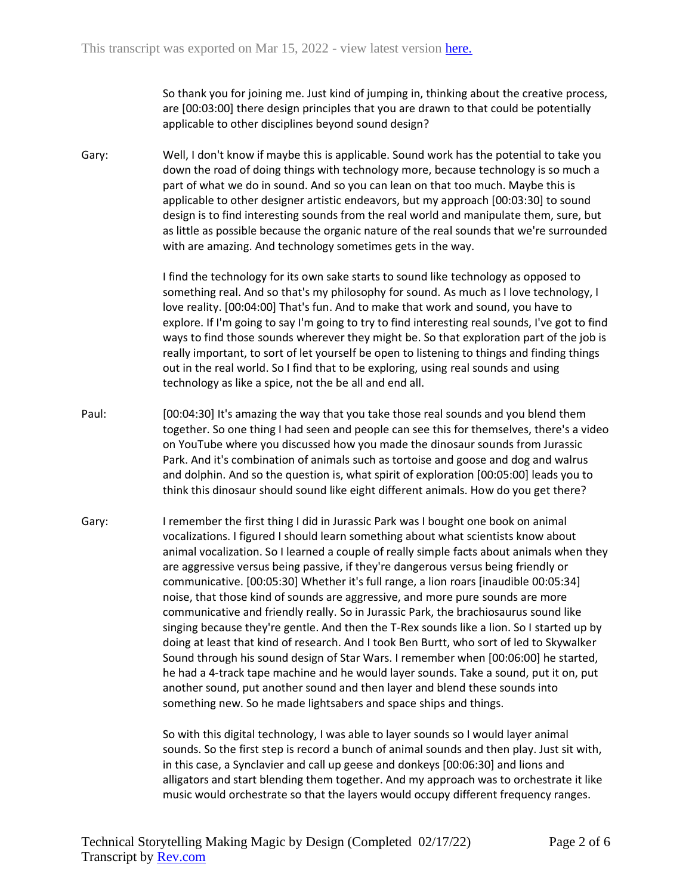So thank you for joining me. Just kind of jumping in, thinking about the creative process, are [00:03:00] there design principles that you are drawn to that could be potentially applicable to other disciplines beyond sound design?

Gary: Well, I don't know if maybe this is applicable. Sound work has the potential to take you down the road of doing things with technology more, because technology is so much a part of what we do in sound. And so you can lean on that too much. Maybe this is applicable to other designer artistic endeavors, but my approach [00:03:30] to sound design is to find interesting sounds from the real world and manipulate them, sure, but as little as possible because the organic nature of the real sounds that we're surrounded with are amazing. And technology sometimes gets in the way.

> I find the technology for its own sake starts to sound like technology as opposed to something real. And so that's my philosophy for sound. As much as I love technology, I love reality. [00:04:00] That's fun. And to make that work and sound, you have to explore. If I'm going to say I'm going to try to find interesting real sounds, I've got to find ways to find those sounds wherever they might be. So that exploration part of the job is really important, to sort of let yourself be open to listening to things and finding things out in the real world. So I find that to be exploring, using real sounds and using technology as like a spice, not the be all and end all.

- Paul: [00:04:30] It's amazing the way that you take those real sounds and you blend them together. So one thing I had seen and people can see this for themselves, there's a video on YouTube where you discussed how you made the dinosaur sounds from Jurassic Park. And it's combination of animals such as tortoise and goose and dog and walrus and dolphin. And so the question is, what spirit of exploration [00:05:00] leads you to think this dinosaur should sound like eight different animals. How do you get there?
- Gary: I remember the first thing I did in Jurassic Park was I bought one book on animal vocalizations. I figured I should learn something about what scientists know about animal vocalization. So I learned a couple of really simple facts about animals when they are aggressive versus being passive, if they're dangerous versus being friendly or communicative. [00:05:30] Whether it's full range, a lion roars [inaudible 00:05:34] noise, that those kind of sounds are aggressive, and more pure sounds are more communicative and friendly really. So in Jurassic Park, the brachiosaurus sound like singing because they're gentle. And then the T-Rex sounds like a lion. So I started up by doing at least that kind of research. And I took Ben Burtt, who sort of led to Skywalker Sound through his sound design of Star Wars. I remember when [00:06:00] he started, he had a 4-track tape machine and he would layer sounds. Take a sound, put it on, put another sound, put another sound and then layer and blend these sounds into something new. So he made lightsabers and space ships and things.

So with this digital technology, I was able to layer sounds so I would layer animal sounds. So the first step is record a bunch of animal sounds and then play. Just sit with, in this case, a Synclavier and call up geese and donkeys [00:06:30] and lions and alligators and start blending them together. And my approach was to orchestrate it like music would orchestrate so that the layers would occupy different frequency ranges.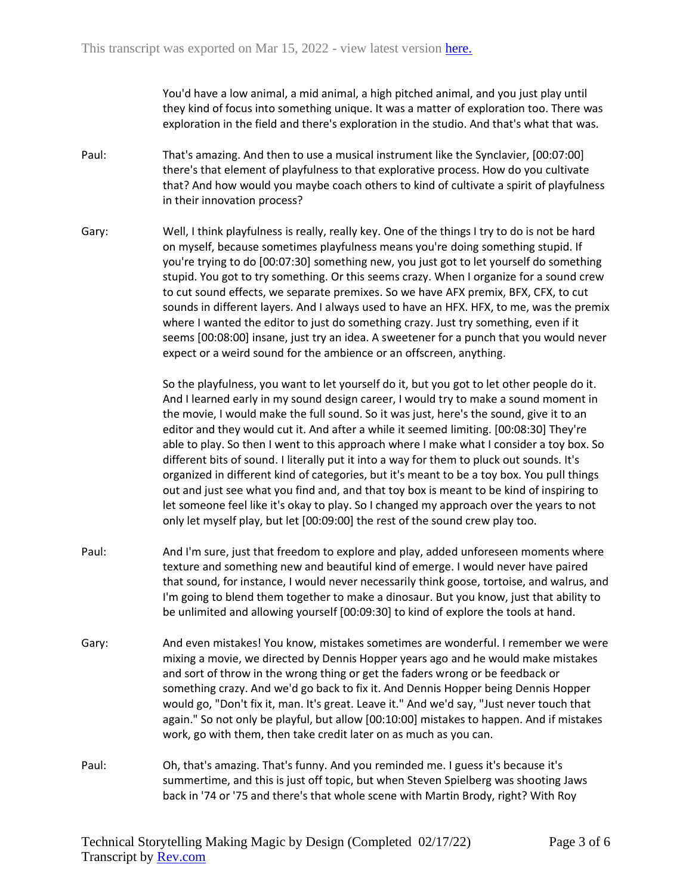You'd have a low animal, a mid animal, a high pitched animal, and you just play until they kind of focus into something unique. It was a matter of exploration too. There was exploration in the field and there's exploration in the studio. And that's what that was.

- Paul: That's amazing. And then to use a musical instrument like the Synclavier, [00:07:00] there's that element of playfulness to that explorative process. How do you cultivate that? And how would you maybe coach others to kind of cultivate a spirit of playfulness in their innovation process?
- Gary: Well, I think playfulness is really, really key. One of the things I try to do is not be hard on myself, because sometimes playfulness means you're doing something stupid. If you're trying to do [00:07:30] something new, you just got to let yourself do something stupid. You got to try something. Or this seems crazy. When I organize for a sound crew to cut sound effects, we separate premixes. So we have AFX premix, BFX, CFX, to cut sounds in different layers. And I always used to have an HFX. HFX, to me, was the premix where I wanted the editor to just do something crazy. Just try something, even if it seems [00:08:00] insane, just try an idea. A sweetener for a punch that you would never expect or a weird sound for the ambience or an offscreen, anything.

So the playfulness, you want to let yourself do it, but you got to let other people do it. And I learned early in my sound design career, I would try to make a sound moment in the movie, I would make the full sound. So it was just, here's the sound, give it to an editor and they would cut it. And after a while it seemed limiting. [00:08:30] They're able to play. So then I went to this approach where I make what I consider a toy box. So different bits of sound. I literally put it into a way for them to pluck out sounds. It's organized in different kind of categories, but it's meant to be a toy box. You pull things out and just see what you find and, and that toy box is meant to be kind of inspiring to let someone feel like it's okay to play. So I changed my approach over the years to not only let myself play, but let [00:09:00] the rest of the sound crew play too.

- Paul: And I'm sure, just that freedom to explore and play, added unforeseen moments where texture and something new and beautiful kind of emerge. I would never have paired that sound, for instance, I would never necessarily think goose, tortoise, and walrus, and I'm going to blend them together to make a dinosaur. But you know, just that ability to be unlimited and allowing yourself [00:09:30] to kind of explore the tools at hand.
- Gary: And even mistakes! You know, mistakes sometimes are wonderful. I remember we were mixing a movie, we directed by Dennis Hopper years ago and he would make mistakes and sort of throw in the wrong thing or get the faders wrong or be feedback or something crazy. And we'd go back to fix it. And Dennis Hopper being Dennis Hopper would go, "Don't fix it, man. It's great. Leave it." And we'd say, "Just never touch that again." So not only be playful, but allow [00:10:00] mistakes to happen. And if mistakes work, go with them, then take credit later on as much as you can.
- Paul: Oh, that's amazing. That's funny. And you reminded me. I guess it's because it's summertime, and this is just off topic, but when Steven Spielberg was shooting Jaws back in '74 or '75 and there's that whole scene with Martin Brody, right? With Roy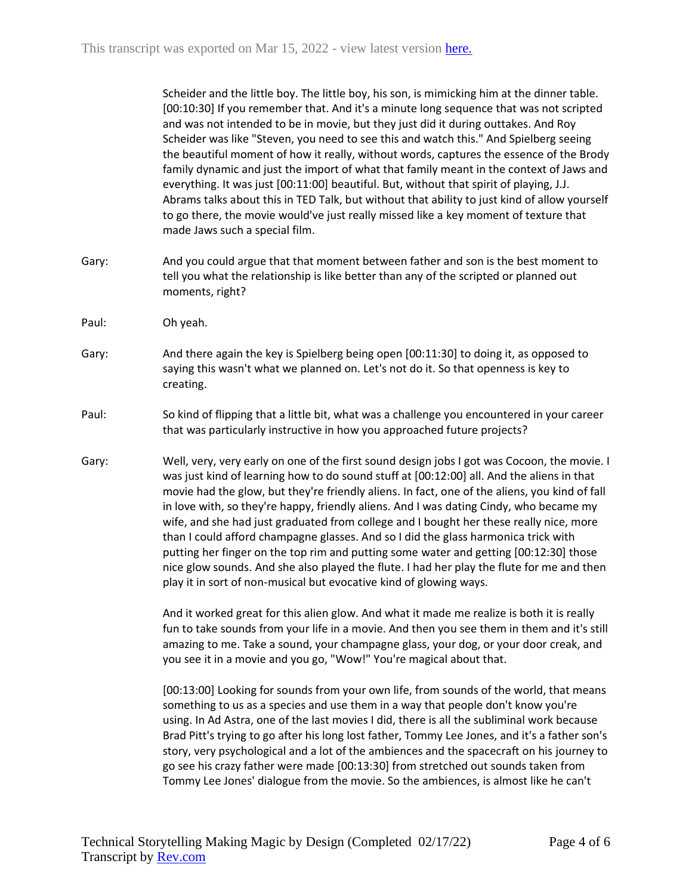Scheider and the little boy. The little boy, his son, is mimicking him at the dinner table. [00:10:30] If you remember that. And it's a minute long sequence that was not scripted and was not intended to be in movie, but they just did it during outtakes. And Roy Scheider was like "Steven, you need to see this and watch this." And Spielberg seeing the beautiful moment of how it really, without words, captures the essence of the Brody family dynamic and just the import of what that family meant in the context of Jaws and everything. It was just [00:11:00] beautiful. But, without that spirit of playing, J.J. Abrams talks about this in TED Talk, but without that ability to just kind of allow yourself to go there, the movie would've just really missed like a key moment of texture that made Jaws such a special film.

- Gary: And you could argue that that moment between father and son is the best moment to tell you what the relationship is like better than any of the scripted or planned out moments, right?
- Paul: Oh yeah.
- Gary: And there again the key is Spielberg being open [00:11:30] to doing it, as opposed to saying this wasn't what we planned on. Let's not do it. So that openness is key to creating.
- Paul: So kind of flipping that a little bit, what was a challenge you encountered in your career that was particularly instructive in how you approached future projects?
- Gary: Well, very, very early on one of the first sound design jobs I got was Cocoon, the movie. I was just kind of learning how to do sound stuff at [00:12:00] all. And the aliens in that movie had the glow, but they're friendly aliens. In fact, one of the aliens, you kind of fall in love with, so they're happy, friendly aliens. And I was dating Cindy, who became my wife, and she had just graduated from college and I bought her these really nice, more than I could afford champagne glasses. And so I did the glass harmonica trick with putting her finger on the top rim and putting some water and getting [00:12:30] those nice glow sounds. And she also played the flute. I had her play the flute for me and then play it in sort of non-musical but evocative kind of glowing ways.

And it worked great for this alien glow. And what it made me realize is both it is really fun to take sounds from your life in a movie. And then you see them in them and it's still amazing to me. Take a sound, your champagne glass, your dog, or your door creak, and you see it in a movie and you go, "Wow!" You're magical about that.

[00:13:00] Looking for sounds from your own life, from sounds of the world, that means something to us as a species and use them in a way that people don't know you're using. In Ad Astra, one of the last movies I did, there is all the subliminal work because Brad Pitt's trying to go after his long lost father, Tommy Lee Jones, and it's a father son's story, very psychological and a lot of the ambiences and the spacecraft on his journey to go see his crazy father were made [00:13:30] from stretched out sounds taken from Tommy Lee Jones' dialogue from the movie. So the ambiences, is almost like he can't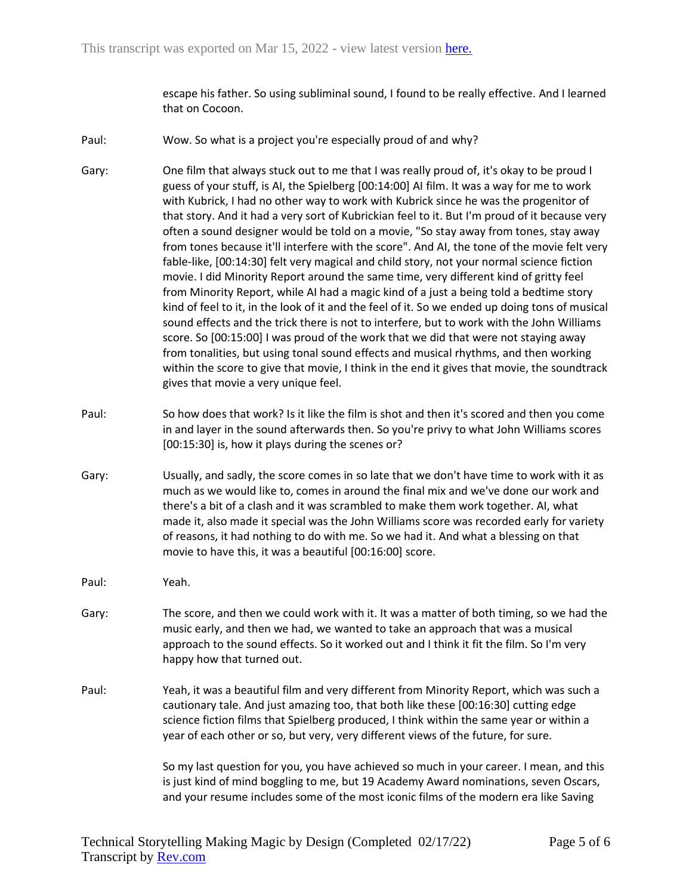escape his father. So using subliminal sound, I found to be really effective. And I learned that on Cocoon.

- Paul: Wow. So what is a project you're especially proud of and why?
- Gary: One film that always stuck out to me that I was really proud of, it's okay to be proud I guess of your stuff, is AI, the Spielberg [00:14:00] AI film. It was a way for me to work with Kubrick, I had no other way to work with Kubrick since he was the progenitor of that story. And it had a very sort of Kubrickian feel to it. But I'm proud of it because very often a sound designer would be told on a movie, "So stay away from tones, stay away from tones because it'll interfere with the score". And AI, the tone of the movie felt very fable-like, [00:14:30] felt very magical and child story, not your normal science fiction movie. I did Minority Report around the same time, very different kind of gritty feel from Minority Report, while AI had a magic kind of a just a being told a bedtime story kind of feel to it, in the look of it and the feel of it. So we ended up doing tons of musical sound effects and the trick there is not to interfere, but to work with the John Williams score. So [00:15:00] I was proud of the work that we did that were not staying away from tonalities, but using tonal sound effects and musical rhythms, and then working within the score to give that movie, I think in the end it gives that movie, the soundtrack gives that movie a very unique feel.
- Paul: So how does that work? Is it like the film is shot and then it's scored and then you come in and layer in the sound afterwards then. So you're privy to what John Williams scores [00:15:30] is, how it plays during the scenes or?
- Gary: Usually, and sadly, the score comes in so late that we don't have time to work with it as much as we would like to, comes in around the final mix and we've done our work and there's a bit of a clash and it was scrambled to make them work together. AI, what made it, also made it special was the John Williams score was recorded early for variety of reasons, it had nothing to do with me. So we had it. And what a blessing on that movie to have this, it was a beautiful [00:16:00] score.
- Paul: Yeah.
- Gary: The score, and then we could work with it. It was a matter of both timing, so we had the music early, and then we had, we wanted to take an approach that was a musical approach to the sound effects. So it worked out and I think it fit the film. So I'm very happy how that turned out.
- Paul: Yeah, it was a beautiful film and very different from Minority Report, which was such a cautionary tale. And just amazing too, that both like these [00:16:30] cutting edge science fiction films that Spielberg produced, I think within the same year or within a year of each other or so, but very, very different views of the future, for sure.

So my last question for you, you have achieved so much in your career. I mean, and this is just kind of mind boggling to me, but 19 Academy Award nominations, seven Oscars, and your resume includes some of the most iconic films of the modern era like Saving